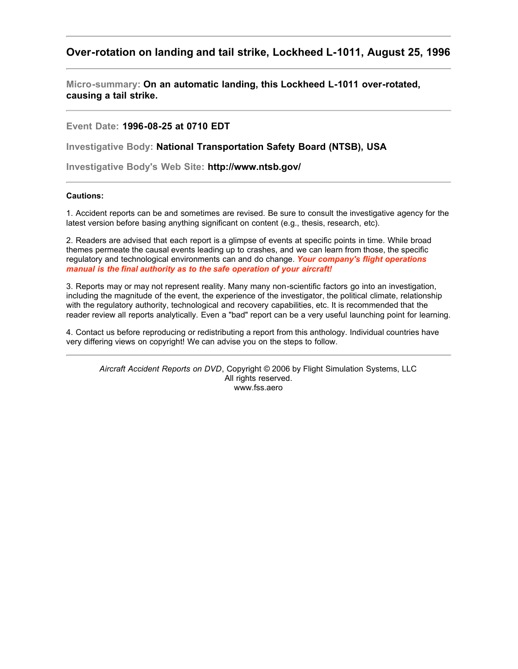# **Over-rotation on landing and tail strike, Lockheed L-1011, August 25, 1996**

**Micro-summary: On an automatic landing, this Lockheed L-1011 over-rotated, causing a tail strike.**

**Event Date: 1996-08-25 at 0710 EDT**

**Investigative Body: National Transportation Safety Board (NTSB), USA**

**Investigative Body's Web Site: http://www.ntsb.gov/**

# **Cautions:**

1. Accident reports can be and sometimes are revised. Be sure to consult the investigative agency for the latest version before basing anything significant on content (e.g., thesis, research, etc).

2. Readers are advised that each report is a glimpse of events at specific points in time. While broad themes permeate the causal events leading up to crashes, and we can learn from those, the specific regulatory and technological environments can and do change. *Your company's flight operations manual is the final authority as to the safe operation of your aircraft!*

3. Reports may or may not represent reality. Many many non-scientific factors go into an investigation, including the magnitude of the event, the experience of the investigator, the political climate, relationship with the regulatory authority, technological and recovery capabilities, etc. It is recommended that the reader review all reports analytically. Even a "bad" report can be a very useful launching point for learning.

4. Contact us before reproducing or redistributing a report from this anthology. Individual countries have very differing views on copyright! We can advise you on the steps to follow.

*Aircraft Accident Reports on DVD*, Copyright © 2006 by Flight Simulation Systems, LLC All rights reserved. www.fss.aero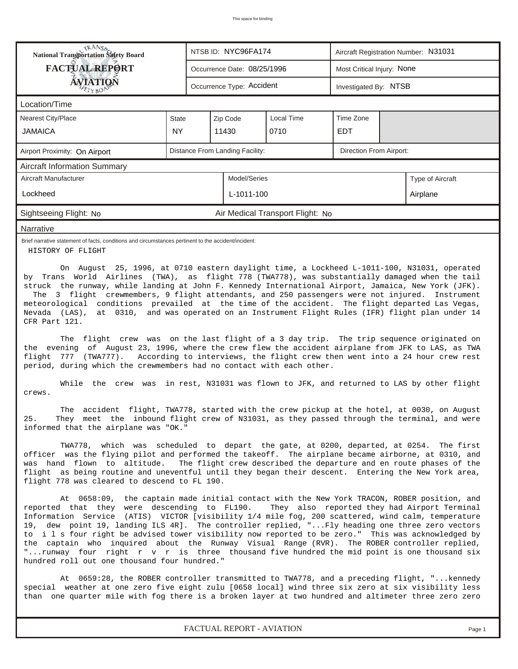| <b>National Transportation Safety Board</b><br>NTSB ID: NYC96FA174<br>Aircraft Registration Number: N31031                                                                                                                                                                                                                                                                                                                                                                                                                                                                                                                                                                                                                                                                                        |              |                             |                                 |                       |                            |                                                                                                     |          |
|---------------------------------------------------------------------------------------------------------------------------------------------------------------------------------------------------------------------------------------------------------------------------------------------------------------------------------------------------------------------------------------------------------------------------------------------------------------------------------------------------------------------------------------------------------------------------------------------------------------------------------------------------------------------------------------------------------------------------------------------------------------------------------------------------|--------------|-----------------------------|---------------------------------|-----------------------|----------------------------|-----------------------------------------------------------------------------------------------------|----------|
| <b>FACTUAL REPORT</b>                                                                                                                                                                                                                                                                                                                                                                                                                                                                                                                                                                                                                                                                                                                                                                             |              | Occurrence Date: 08/25/1996 |                                 |                       | Most Critical Injury: None |                                                                                                     |          |
| <b>ÁVIATION</b><br>ETYBOP                                                                                                                                                                                                                                                                                                                                                                                                                                                                                                                                                                                                                                                                                                                                                                         |              | Occurrence Type: Accident   |                                 | Investigated By: NTSB |                            |                                                                                                     |          |
| Location/Time                                                                                                                                                                                                                                                                                                                                                                                                                                                                                                                                                                                                                                                                                                                                                                                     |              |                             |                                 |                       |                            |                                                                                                     |          |
| Nearest City/Place                                                                                                                                                                                                                                                                                                                                                                                                                                                                                                                                                                                                                                                                                                                                                                                | State        |                             | Zip Code                        | <b>Local Time</b>     | Time Zone                  |                                                                                                     |          |
| JAMAICA                                                                                                                                                                                                                                                                                                                                                                                                                                                                                                                                                                                                                                                                                                                                                                                           | NY           |                             | 11430                           | 0710                  | <b>EDT</b>                 |                                                                                                     |          |
| Airport Proximity: On Airport                                                                                                                                                                                                                                                                                                                                                                                                                                                                                                                                                                                                                                                                                                                                                                     |              |                             | Distance From Landing Facility: |                       | Direction From Airport:    |                                                                                                     |          |
| <b>Aircraft Information Summary</b>                                                                                                                                                                                                                                                                                                                                                                                                                                                                                                                                                                                                                                                                                                                                                               |              |                             |                                 |                       |                            |                                                                                                     |          |
| Aircraft Manufacturer                                                                                                                                                                                                                                                                                                                                                                                                                                                                                                                                                                                                                                                                                                                                                                             | Model/Series |                             |                                 |                       | Type of Aircraft           |                                                                                                     |          |
| Lockheed                                                                                                                                                                                                                                                                                                                                                                                                                                                                                                                                                                                                                                                                                                                                                                                          |              |                             | L-1011-100                      |                       |                            |                                                                                                     | Airplane |
| Sightseeing Flight: No<br>Air Medical Transport Flight: No                                                                                                                                                                                                                                                                                                                                                                                                                                                                                                                                                                                                                                                                                                                                        |              |                             |                                 |                       |                            |                                                                                                     |          |
| Narrative                                                                                                                                                                                                                                                                                                                                                                                                                                                                                                                                                                                                                                                                                                                                                                                         |              |                             |                                 |                       |                            |                                                                                                     |          |
| Brief narrative statement of facts, conditions and circumstances pertinent to the accident/incident:<br>HISTORY OF FLIGHT                                                                                                                                                                                                                                                                                                                                                                                                                                                                                                                                                                                                                                                                         |              |                             |                                 |                       |                            |                                                                                                     |          |
| The 3 flight crewmembers, 9 flight attendants, and 250 passengers were not injured. Instrument<br>meteorological conditions prevailed at the time of the accident. The flight departed Las Vegas,<br>Nevada (LAS), at 0310, and was operated on an Instrument Flight Rules (IFR) flight plan under 14<br>CFR Part 121.<br>The flight crew was on the last flight of a 3 day trip. The trip sequence originated on<br>the evening of August 23, 1996, where the crew flew the accident airplane from JFK to LAS, as TWA<br>flight<br>777 (TWA777). According to interviews, the flight crew then went into a 24 hour crew rest<br>period, during which the crewmembers had no contact with each other.<br>While the crew was in rest, N31031 was flown to JFK, and returned to LAS by other flight |              |                             |                                 |                       |                            | struck the runway, while landing at John F. Kennedy International Airport, Jamaica, New York (JFK). |          |
| crews.<br>The accident flight, TWA778, started with the crew pickup at the hotel, at 0030, on August<br>They meet the inbound flight crew of N31031, as they passed through the terminal, and were<br>25.<br>informed that the airplane was "OK."                                                                                                                                                                                                                                                                                                                                                                                                                                                                                                                                                 |              |                             |                                 |                       |                            |                                                                                                     |          |
| TWA778, which was scheduled to depart the gate, at 0200, departed, at 0254. The first<br>officer was the flying pilot and performed the takeoff. The airplane became airborne, at 0310, and<br>was hand flown to altitude.<br>The flight crew described the departure and en route phases of the<br>flight as being routine and uneventful until they began their descent. Entering the New York area,<br>flight 778 was cleared to descend to FL 190.                                                                                                                                                                                                                                                                                                                                            |              |                             |                                 |                       |                            |                                                                                                     |          |
| At 0658:09, the captain made initial contact with the New York TRACON, ROBER position, and<br>reported that they were descending to FL190.<br>They also reported they had Airport Terminal<br>Information Service (ATIS) VICTOR [visibility 1/4 mile fog, 200 scattered, wind calm, temperature<br>19, dew point 19, landing ILS 4R]. The controller replied, "Fly heading one three zero vectors<br>to i l s four right be advised tower visibility now reported to be zero." This was acknowledged by<br>the captain who inquired about the Runway Visual Range (RVR). The ROBER controller replied,<br>"runway four right r v r is three thousand five hundred the mid point is one thousand six<br>hundred roll out one thousand four hundred."                                               |              |                             |                                 |                       |                            |                                                                                                     |          |
| At 0659:28, the ROBER controller transmitted to TWA778, and a preceding flight, " kennedy<br>special weather at one zero five eight zulu [0658 local] wind three six zero at six visibility less<br>than one quarter mile with fog there is a broken layer at two hundred and altimeter three zero zero                                                                                                                                                                                                                                                                                                                                                                                                                                                                                           |              |                             |                                 |                       |                            |                                                                                                     |          |

*FACTUAL REPORT - AVIATION Page 1*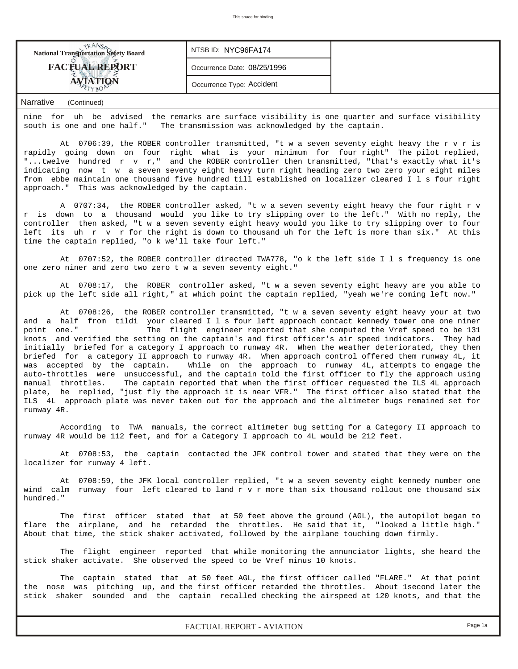| <b>National Transportation Safety Board</b> | NTSB ID: NYC96FA174         |  |
|---------------------------------------------|-----------------------------|--|
| <b>FACTUAL REPORT</b>                       | Occurrence Date: 08/25/1996 |  |
|                                             | Occurrence Type: Accident   |  |

nine for uh be advised the remarks are surface visibility is one quarter and surface visibility south is one and one half." The transmission was acknowledged by the captain.

 At 0706:39, the ROBER controller transmitted, "t w a seven seventy eight heavy the r v r is rapidly going down on four right what is your minimum for four right" The pilot replied, "...twelve hundred r v r," and the ROBER controller then transmitted, "that's exactly what it's indicating now t w a seven seventy eight heavy turn right heading zero two zero your eight miles from ebbe maintain one thousand five hundred till established on localizer cleared I l s four right approach." This was acknowledged by the captain.

 A 0707:34, the ROBER controller asked, "t w a seven seventy eight heavy the four right r v r is down to a thousand would you like to try slipping over to the left." With no reply, the controller then asked, "t w a seven seventy eight heavy would you like to try slipping over to four left its uh r v r for the right is down to thousand uh for the left is more than six." At this time the captain replied, "o k we'll take four left."

 At 0707:52, the ROBER controller directed TWA778, "o k the left side I l s frequency is one one zero niner and zero two zero t w a seven seventy eight."

 At 0708:17, the ROBER controller asked, "t w a seven seventy eight heavy are you able to pick up the left side all right," at which point the captain replied, "yeah we're coming left now."

 At 0708:26, the ROBER controller transmitted, "t w a seven seventy eight heavy your at two and a half from tildi your cleared I l s four left approach contact kennedy tower one one niner point one." The flight engineer reported that she computed the Vref speed to be 131 knots and verified the setting on the captain's and first officer's air speed indicators. They had initially briefed for a category I approach to runway 4R. When the weather deteriorated, they then briefed for a category II approach to runway 4R. When approach control offered them runway 4L, it was accepted by the captain. While on the approach to runway 4L, attempts to engage the auto-throttles were unsuccessful, and the captain told the first officer to fly the approach using manual throttles. The captain reported that when the first officer requested the ILS 4L approach plate, he replied, "just fly the approach it is near VFR." The first officer also stated that the ILS 4L approach plate was never taken out for the approach and the altimeter bugs remained set for runway 4R.

 According to TWA manuals, the correct altimeter bug setting for a Category II approach to runway 4R would be 112 feet, and for a Category I approach to 4L would be 212 feet.

 At 0708:53, the captain contacted the JFK control tower and stated that they were on the localizer for runway 4 left.

 At 0708:59, the JFK local controller replied, "t w a seven seventy eight kennedy number one wind calm runway four left cleared to land r v r more than six thousand rollout one thousand six hundred."

 The first officer stated that at 50 feet above the ground (AGL), the autopilot began to flare the airplane, and he retarded the throttles. He said that it, "looked a little high." About that time, the stick shaker activated, followed by the airplane touching down firmly.

 The flight engineer reported that while monitoring the annunciator lights, she heard the stick shaker activate. She observed the speed to be Vref minus 10 knots.

 The captain stated that at 50 feet AGL, the first officer called "FLARE." At that point the nose was pitching up, and the first officer retarded the throttles. About 1second later the stick shaker sounded and the captain recalled checking the airspeed at 120 knots, and that the

*FACTUAL REPORT - AVIATION Page 1a*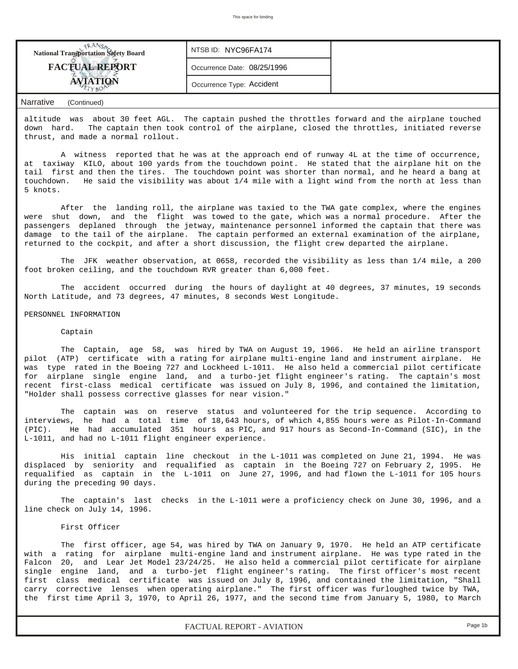| <b>National Transportation Safety Board</b> | NTSB ID: NYC96FA174         |  |
|---------------------------------------------|-----------------------------|--|
| <b>FACTUAL REPORT</b>                       | Occurrence Date: 08/25/1996 |  |
| $r_{rYBO}$                                  | Occurrence Type: Accident   |  |

altitude was about 30 feet AGL. The captain pushed the throttles forward and the airplane touched down hard. The captain then took control of the airplane, closed the throttles, initiated reverse thrust, and made a normal rollout.

 A witness reported that he was at the approach end of runway 4L at the time of occurrence, at taxiway KILO, about 100 yards from the touchdown point. He stated that the airplane hit on the tail first and then the tires. The touchdown point was shorter than normal, and he heard a bang at touchdown. He said the visibility was about 1/4 mile with a light wind from the north at less than 5 knots.

 After the landing roll, the airplane was taxied to the TWA gate complex, where the engines were shut down, and the flight was towed to the gate, which was a normal procedure. After the passengers deplaned through the jetway, maintenance personnel informed the captain that there was damage to the tail of the airplane. The captain performed an external examination of the airplane, returned to the cockpit, and after a short discussion, the flight crew departed the airplane.

 The JFK weather observation, at 0658, recorded the visibility as less than 1/4 mile, a 200 foot broken ceiling, and the touchdown RVR greater than 6,000 feet.

 The accident occurred during the hours of daylight at 40 degrees, 37 minutes, 19 seconds North Latitude, and 73 degrees, 47 minutes, 8 seconds West Longitude.

#### PERSONNEL INFORMATION

#### Captain

 The Captain, age 58, was hired by TWA on August 19, 1966. He held an airline transport pilot (ATP) certificate with a rating for airplane multi-engine land and instrument airplane. He was type rated in the Boeing 727 and Lockheed L-1011. He also held a commercial pilot certificate for airplane single engine land, and a turbo-jet flight engineer's rating. The captain's most recent first-class medical certificate was issued on July 8, 1996, and contained the limitation, "Holder shall possess corrective glasses for near vision."

 The captain was on reserve status and volunteered for the trip sequence. According to interviews, he had a total time of 18,643 hours, of which 4,855 hours were as Pilot-In-Command (PIC). He had accumulated 351 hours as PIC, and 917 hours as Second-In-Command (SIC), in the L-1011, and had no L-1011 flight engineer experience.

 His initial captain line checkout in the L-1011 was completed on June 21, 1994. He was displaced by seniority and requalified as captain in the Boeing 727 on February 2, 1995. He requalified as captain in the L-1011 on June 27, 1996, and had flown the L-1011 for 105 hours during the preceding 90 days.

 The captain's last checks in the L-1011 were a proficiency check on June 30, 1996, and a line check on July 14, 1996.

#### First Officer

 The first officer, age 54, was hired by TWA on January 9, 1970. He held an ATP certificate with a rating for airplane multi-engine land and instrument airplane. He was type rated in the Falcon 20, and Lear Jet Model 23/24/25. He also held a commercial pilot certificate for airplane single engine land, and a turbo-jet flight engineer's rating. The first officer's most recent first class medical certificate was issued on July 8, 1996, and contained the limitation, "Shall carry corrective lenses when operating airplane." The first officer was furloughed twice by TWA, the first time April 3, 1970, to April 26, 1977, and the second time from January 5, 1980, to March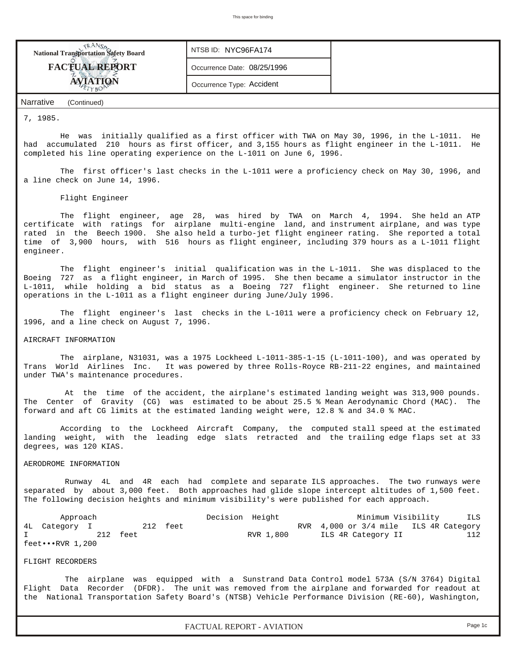| <b>National Transportation Safety Board</b> | NTSB ID: NYC96FA174         |  |
|---------------------------------------------|-----------------------------|--|
| <b>FACTUAL REPORT</b>                       | Occurrence Date: 08/25/1996 |  |
|                                             | Occurrence Type: Accident   |  |
|                                             |                             |  |

## 7, 1985.

 He was initially qualified as a first officer with TWA on May 30, 1996, in the L-1011. He had accumulated 210 hours as first officer, and 3,155 hours as flight engineer in the L-1011. He completed his line operating experience on the L-1011 on June 6, 1996.

The first officer's last checks in the L-1011 were a proficiency check on May 30, 1996, and a line check on June 14, 1996.

#### Flight Engineer

 The flight engineer, age 28, was hired by TWA on March 4, 1994. She held an ATP certificate with ratings for airplane multi-engine land, and instrument airplane, and was type rated in the Beech 1900. She also held a turbo-jet flight engineer rating. She reported a total time of 3,900 hours, with 516 hours as flight engineer, including 379 hours as a L-1011 flight engineer.

 The flight engineer's initial qualification was in the L-1011. She was displaced to the Boeing 727 as a flight engineer, in March of 1995. She then became a simulator instructor in the L-1011, while holding a bid status as a Boeing 727 flight engineer. She returned to line operations in the L-1011 as a flight engineer during June/July 1996.

 The flight engineer's last checks in the L-1011 were a proficiency check on February 12, 1996, and a line check on August 7, 1996.

## AIRCRAFT INFORMATION

 The airplane, N31031, was a 1975 Lockheed L-1011-385-1-15 (L-1011-100), and was operated by Trans World Airlines Inc. It was powered by three Rolls-Royce RB-211-22 engines, and maintained under TWA's maintenance procedures.

 At the time of the accident, the airplane's estimated landing weight was 313,900 pounds. The Center of Gravity (CG) was estimated to be about 25.5 % Mean Aerodynamic Chord (MAC). The forward and aft CG limits at the estimated landing weight were, 12.8 % and 34.0 % MAC.

 According to the Lockheed Aircraft Company, the computed stall speed at the estimated landing weight, with the leading edge slats retracted and the trailing edge flaps set at 33 degrees, was 120 KIAS.

#### AERODROME INFORMATION

 Runway 4L and 4R each had complete and separate ILS approaches. The two runways were separated by about 3,000 feet. Both approaches had glide slope intercept altitudes of 1,500 feet. The following decision heights and minimum visibility's were published for each approach.

| Approach                |          |          | Decision Height |           | Minimum Visibility                    | ILS |
|-------------------------|----------|----------|-----------------|-----------|---------------------------------------|-----|
| 4L Category I           |          | 212 feet |                 |           | RVR 4,000 or 3/4 mile ILS 4R Category |     |
|                         | 212 feet |          |                 | RVR 1,800 | ILS 4R Category II                    | 112 |
| $feet \cdots RVR 1,200$ |          |          |                 |           |                                       |     |

### FLIGHT RECORDERS

 The airplane was equipped with a Sunstrand Data Control model 573A (S/N 3764) Digital Flight Data Recorder (DFDR). The unit was removed from the airplane and forwarded for readout at the National Transportation Safety Board's (NTSB) Vehicle Performance Division (RE-60), Washington,

*FACTUAL REPORT - AVIATION Page 1c*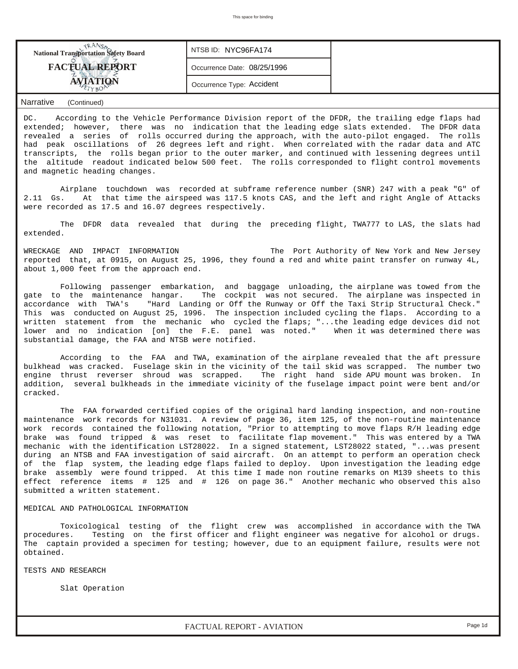| <b>FACTUAL REPORT</b><br>Occurrence Date: 08/25/1996 | <b>National Transportation Safety Board</b> | NTSB ID: NYC96FA174       |  |
|------------------------------------------------------|---------------------------------------------|---------------------------|--|
|                                                      |                                             |                           |  |
|                                                      |                                             | Occurrence Type: Accident |  |

DC. According to the Vehicle Performance Division report of the DFDR, the trailing edge flaps had extended; however, there was no indication that the leading edge slats extended. The DFDR data revealed a series of rolls occurred during the approach, with the auto-pilot engaged. The rolls had peak oscillations of 26 degrees left and right. When correlated with the radar data and ATC transcripts, the rolls began prior to the outer marker, and continued with lessening degrees until the altitude readout indicated below 500 feet. The rolls corresponded to flight control movements and magnetic heading changes.

 Airplane touchdown was recorded at subframe reference number (SNR) 247 with a peak "G" of 2.11 Gs. At that time the airspeed was 117.5 knots CAS, and the left and right Angle of Attacks were recorded as 17.5 and 16.07 degrees respectively.

 The DFDR data revealed that during the preceding flight, TWA777 to LAS, the slats had extended.

WRECKAGE AND IMPACT INFORMATION The Port Authority of New York and New Jersey reported that, at 0915, on August 25, 1996, they found a red and white paint transfer on runway 4L, about 1,000 feet from the approach end.

 Following passenger embarkation, and baggage unloading, the airplane was towed from the gate to the maintenance hangar. The cockpit was not secured. The airplane was inspected in accordance with TWA's "Hard Landing or Off the Runway or Off the Taxi Strip Structural Check." This was conducted on August 25, 1996. The inspection included cycling the flaps. According to a written statement from the mechanic who cycled the flaps; "...the leading edge devices did not<br>lower and no indication [on] the F.E. panel was noted." When it was determined there was lower and no indication [on] the F.E. panel was noted." substantial damage, the FAA and NTSB were notified.

 According to the FAA and TWA, examination of the airplane revealed that the aft pressure bulkhead was cracked. Fuselage skin in the vicinity of the tail skid was scrapped. The number two engine thrust reverser shroud was scrapped. The right hand side APU mount was broken. In addition, several bulkheads in the immediate vicinity of the fuselage impact point were bent and/or cracked.

 The FAA forwarded certified copies of the original hard landing inspection, and non-routine maintenance work records for N31031. A review of page 36, item 125, of the non-routine maintenance work records contained the following notation, "Prior to attempting to move flaps R/H leading edge brake was found tripped & was reset to facilitate flap movement." This was entered by a TWA mechanic with the identification LST28022. In a signed statement, LST28022 stated, "...was present during an NTSB and FAA investigation of said aircraft. On an attempt to perform an operation check of the flap system, the leading edge flaps failed to deploy. Upon investigation the leading edge brake assembly were found tripped. At this time I made non routine remarks on M139 sheets to this effect reference items # 125 and # 126 on page 36." Another mechanic who observed this also submitted a written statement.

#### MEDICAL AND PATHOLOGICAL INFORMATION

 Toxicological testing of the flight crew was accomplished in accordance with the TWA procedures. Testing on the first officer and flight engineer was negative for alcohol or drugs. The captain provided a specimen for testing; however, due to an equipment failure, results were not obtained.

TESTS AND RESEARCH

Slat Operation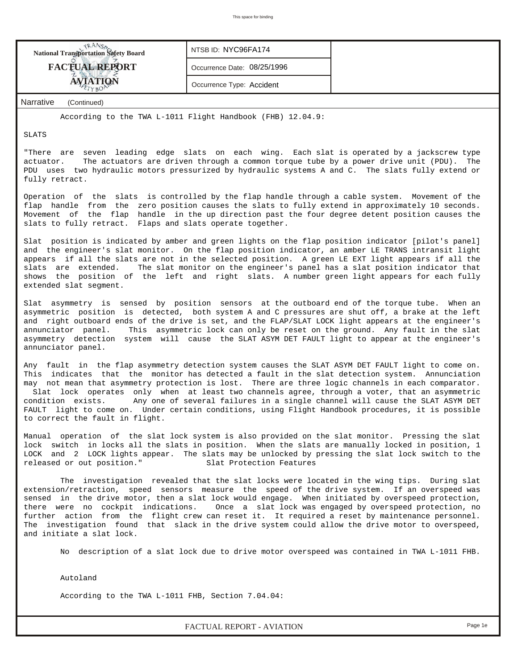| <b>National Transportation Safety Board</b>        | NTSB ID: NYC96FA174         |  |
|----------------------------------------------------|-----------------------------|--|
| <b>FACTUAL REPORT</b>                              | Occurrence Date: 08/25/1996 |  |
| <b>AVIATION</b>                                    | Occurrence Type: Accident   |  |
| $\mathbf{r}$<br>$\sim$ $\sim$ $\sim$ $\sim$ $\sim$ |                             |  |

According to the TWA L-1011 Flight Handbook (FHB) 12.04.9:

SLATS

"There are seven leading edge slats on each wing. Each slat is operated by a jackscrew type actuator. The actuators are driven through a common torque tube by a power drive unit (PDU). The PDU uses two hydraulic motors pressurized by hydraulic systems A and C. The slats fully extend or fully retract.

Operation of the slats is controlled by the flap handle through a cable system. Movement of the flap handle from the zero position causes the slats to fully extend in approximately 10 seconds. Movement of the flap handle in the up direction past the four degree detent position causes the slats to fully retract. Flaps and slats operate together.

Slat position is indicated by amber and green lights on the flap position indicator [pilot's panel] and the engineer's slat monitor. On the flap position indicator, an amber LE TRANS intransit light appears if all the slats are not in the selected position. A green LE EXT light appears if all the slats are extended. The slat monitor on the engineer's panel has a slat position indicator that shows the position of the left and right slats. A number green light appears for each fully extended slat segment.

Slat asymmetry is sensed by position sensors at the outboard end of the torque tube. When an asymmetric position is detected, both system A and C pressures are shut off, a brake at the left and right outboard ends of the drive is set, and the FLAP/SLAT LOCK light appears at the engineer's annunciator panel. This asymmetric lock can only be reset on the ground. Any fault in the slat asymmetry detection system will cause the SLAT ASYM DET FAULT light to appear at the engineer's annunciator panel.

Any fault in the flap asymmetry detection system causes the SLAT ASYM DET FAULT light to come on. This indicates that the monitor has detected a fault in the slat detection system. Annunciation may not mean that asymmetry protection is lost. There are three logic channels in each comparator. Slat lock operates only when at least two channels agree, through a voter, that an asymmetric condition exists. Any one of several failures in a single channel will cause the SLAT ASYM DET FAULT light to come on. Under certain conditions, using Flight Handbook procedures, it is possible to correct the fault in flight.

Manual operation of the slat lock system is also provided on the slat monitor. Pressing the slat lock switch in locks all the slats in position. When the slats are manually locked in position, 1 LOCK and 2 LOCK lights appear. The slats may be unlocked by pressing the slat lock switch to the released or out position." Slat Protection Features

 The investigation revealed that the slat locks were located in the wing tips. During slat extension/retraction, speed sensors measure the speed of the drive system. If an overspeed was sensed in the drive motor, then a slat lock would engage. When initiated by overspeed protection, there were no cockpit indications. Once a slat lock was engaged by overspeed protection, no further action from the flight crew can reset it. It required a reset by maintenance personnel. The investigation found that slack in the drive system could allow the drive motor to overspeed, and initiate a slat lock.

No description of a slat lock due to drive motor overspeed was contained in TWA L-1011 FHB.

Autoland

According to the TWA L-1011 FHB, Section 7.04.04:

*FACTUAL REPORT - AVIATION Page 1e*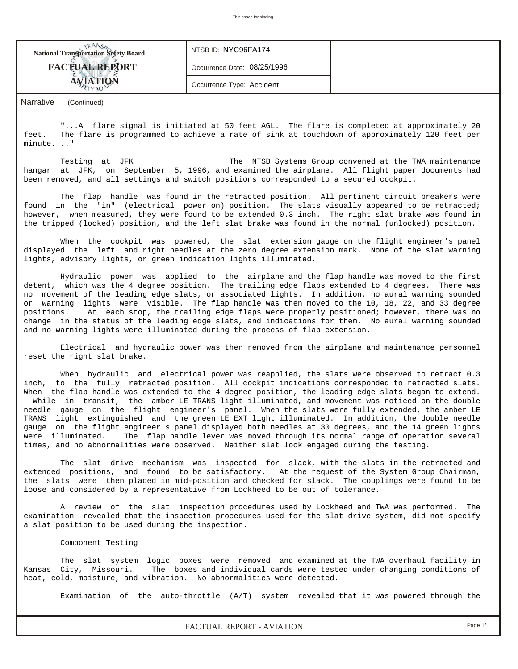| <b>National Transportation Safety Board</b> | NTSB ID: NYC96FA174         |  |
|---------------------------------------------|-----------------------------|--|
| <b>FACTUAL REPORT</b>                       | Occurrence Date: 08/25/1996 |  |
|                                             | Occurrence Type: Accident   |  |

 "...A flare signal is initiated at 50 feet AGL. The flare is completed at approximately 20 feet. The flare is programmed to achieve a rate of sink at touchdown of approximately 120 feet per minute...."

Testing at JFK The NTSB Systems Group convened at the TWA maintenance hangar at JFK, on September 5, 1996, and examined the airplane. All flight paper documents had been removed, and all settings and switch positions corresponded to a secured cockpit.

 The flap handle was found in the retracted position. All pertinent circuit breakers were found in the "in" (electrical power on) position. The slats visually appeared to be retracted; however, when measured, they were found to be extended 0.3 inch. The right slat brake was found in the tripped (locked) position, and the left slat brake was found in the normal (unlocked) position.

 When the cockpit was powered, the slat extension gauge on the flight engineer's panel displayed the left and right needles at the zero degree extension mark. None of the slat warning lights, advisory lights, or green indication lights illuminated.

 Hydraulic power was applied to the airplane and the flap handle was moved to the first detent, which was the 4 degree position. The trailing edge flaps extended to 4 degrees. There was no movement of the leading edge slats, or associated lights. In addition, no aural warning sounded or warning lights were visible. The flap handle was then moved to the 10, 18, 22, and 33 degree positions. At each stop, the trailing edge flaps were properly positioned; however, there was no change in the status of the leading edge slats, and indications for them. No aural warning sounded and no warning lights were illuminated during the process of flap extension.

 Electrical and hydraulic power was then removed from the airplane and maintenance personnel reset the right slat brake.

When hydraulic and electrical power was reapplied, the slats were observed to retract 0.3 inch, to the fully retracted position. All cockpit indications corresponded to retracted slats. When the flap handle was extended to the 4 degree position, the leading edge slats began to extend. While in transit, the amber LE TRANS light illuminated, and movement was noticed on the double needle gauge on the flight engineer's panel. When the slats were fully extended, the amber LE TRANS light extinguished and the green LE EXT light illuminated. In addition, the double needle gauge on the flight engineer's panel displayed both needles at 30 degrees, and the 14 green lights were illuminated. The flap handle lever was moved through its normal range of operation several times, and no abnormalities were observed. Neither slat lock engaged during the testing.

 The slat drive mechanism was inspected for slack, with the slats in the retracted and extended positions, and found to be satisfactory. At the request of the System Group Chairman, the slats were then placed in mid-position and checked for slack. The couplings were found to be loose and considered by a representative from Lockheed to be out of tolerance.

 A review of the slat inspection procedures used by Lockheed and TWA was performed. The examination revealed that the inspection procedures used for the slat drive system, did not specify a slat position to be used during the inspection.

Component Testing

 The slat system logic boxes were removed and examined at the TWA overhaul facility in Kansas City, Missouri. The boxes and individual cards were tested under changing conditions of heat, cold, moisture, and vibration. No abnormalities were detected.

Examination of the auto-throttle (A/T) system revealed that it was powered through the

*FACTUAL REPORT - AVIATION Page 1f*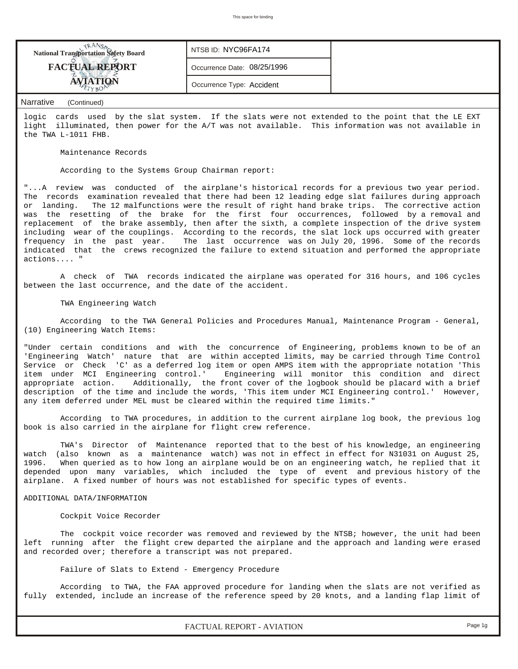| <b>FACTUAL REPORT</b><br>Occurrence Date: 08/25/1996<br>Occurrence Type: Accident | <b>National Transportation Safety Board</b> | NTSB ID: NYC96FA174 |  |
|-----------------------------------------------------------------------------------|---------------------------------------------|---------------------|--|
|                                                                                   |                                             |                     |  |
|                                                                                   |                                             |                     |  |

logic cards used by the slat system. If the slats were not extended to the point that the LE EXT light illuminated, then power for the A/T was not available. This information was not available in the TWA L-1011 FHB.

Maintenance Records

According to the Systems Group Chairman report:

"...A review was conducted of the airplane's historical records for a previous two year period. The records examination revealed that there had been 12 leading edge slat failures during approach or landing. The 12 malfunctions were the result of right hand brake trips. The corrective action was the resetting of the brake for the first four occurrences, followed by a removal and replacement of the brake assembly, then after the sixth, a complete inspection of the drive system including wear of the couplings. According to the records, the slat lock ups occurred with greater frequency in the past year. The last occurrence was on July 20, 1996. Some of the records indicated that the crews recognized the failure to extend situation and performed the appropriate actions.... "

 A check of TWA records indicated the airplane was operated for 316 hours, and 106 cycles between the last occurrence, and the date of the accident.

TWA Engineering Watch

 According to the TWA General Policies and Procedures Manual, Maintenance Program - General, (10) Engineering Watch Items:

"Under certain conditions and with the concurrence of Engineering, problems known to be of an 'Engineering Watch' nature that are within accepted limits, may be carried through Time Control Service or Check 'C' as a deferred log item or open AMPS item with the appropriate notation 'This item under MCI Engineering control.' Engineering will monitor this condition and direct appropriate action. Additionally, the front cover of the logbook should be placard with a brief description of the time and include the words, 'This item under MCI Engineering control.' However, any item deferred under MEL must be cleared within the required time limits."

 According to TWA procedures, in addition to the current airplane log book, the previous log book is also carried in the airplane for flight crew reference.

 TWA's Director of Maintenance reported that to the best of his knowledge, an engineering watch (also known as a maintenance watch) was not in effect in effect for N31031 on August 25, 1996. When queried as to how long an airplane would be on an engineering watch, he replied that it depended upon many variables, which included the type of event and previous history of the airplane. A fixed number of hours was not established for specific types of events.

#### ADDITIONAL DATA/INFORMATION

#### Cockpit Voice Recorder

 The cockpit voice recorder was removed and reviewed by the NTSB; however, the unit had been left running after the flight crew departed the airplane and the approach and landing were erased and recorded over; therefore a transcript was not prepared.

Failure of Slats to Extend - Emergency Procedure

 According to TWA, the FAA approved procedure for landing when the slats are not verified as fully extended, include an increase of the reference speed by 20 knots, and a landing flap limit of

*FACTUAL REPORT - AVIATION Page 1g*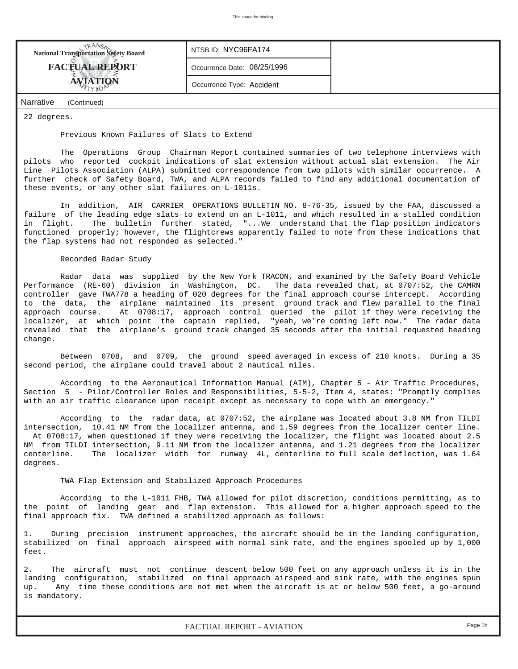| <b>National Transportation Safety Board</b> | NTSB ID: NYC96FA174         |  |
|---------------------------------------------|-----------------------------|--|
| <b>FACTUAL REPORT</b>                       | Occurrence Date: 08/25/1996 |  |
| <b>AVIATION</b>                             | Occurrence Type: Accident   |  |
| <b>Narrative</b><br>(Continued)             |                             |  |

22 degrees.

#### Previous Known Failures of Slats to Extend

 The Operations Group Chairman Report contained summaries of two telephone interviews with pilots who reported cockpit indications of slat extension without actual slat extension. The Air Line Pilots Association (ALPA) submitted correspondence from two pilots with similar occurrence. A further check of Safety Board, TWA, and ALPA records failed to find any additional documentation of these events, or any other slat failures on L-1011s.

 In addition, AIR CARRIER OPERATIONS BULLETIN NO. 8-76-35, issued by the FAA, discussed a failure of the leading edge slats to extend on an L-1011, and which resulted in a stalled condition in flight. The bulletin further stated, "...We understand that the flap position indicators functioned properly; however, the flightcrews apparently failed to note from these indications that the flap systems had not responded as selected."

# Recorded Radar Study

 Radar data was supplied by the New York TRACON, and examined by the Safety Board Vehicle Performance (RE-60) division in Washington, DC. The data revealed that, at 0707:52, the CAMRN controller gave TWA778 a heading of 020 degrees for the final approach course intercept. According to the data, the airplane maintained its present ground track and flew parallel to the final approach course. At 0708:17, approach control queried the pilot if they were receiving the localizer, at which point the captain replied, "yeah, we're coming left now." The radar data revealed that the airplane's ground track changed 35 seconds after the initial requested heading change.

 Between 0708, and 0709, the ground speed averaged in excess of 210 knots. During a 35 second period, the airplane could travel about 2 nautical miles.

 According to the Aeronautical Information Manual (AIM), Chapter 5 - Air Traffic Procedures, Section 5 - Pilot/Controller Roles and Responsibilities, 5-5-2, Item 4, states: "Promptly complies with an air traffic clearance upon receipt except as necessary to cope with an emergency."

 According to the radar data, at 0707:52, the airplane was located about 3.8 NM from TILDI intersection, 10.41 NM from the localizer antenna, and 1.59 degrees from the localizer center line. At 0708:17, when questioned if they were receiving the localizer, the flight was located about 2.5 NM from TILDI intersection, 9.11 NM from the localizer antenna, and 1.21 degrees from the localizer centerline. The localizer width for runway 4L, centerline to full scale deflection, was 1.64 degrees.

#### TWA Flap Extension and Stabilized Approach Procedures

 According to the L-1011 FHB, TWA allowed for pilot discretion, conditions permitting, as to the point of landing gear and flap extension. This allowed for a higher approach speed to the final approach fix. TWA defined a stabilized approach as follows:

During precision instrument approaches, the aircraft should be in the landing configuration, stabilized on final approach airspeed with normal sink rate, and the engines spooled up by 1,000 feet.

The aircraft must not continue descent below 500 feet on any approach unless it is in the landing configuration, stabilized on final approach airspeed and sink rate, with the engines spun up. Any time these conditions are not met when the aircraft is at or below 500 feet, a go-around is mandatory.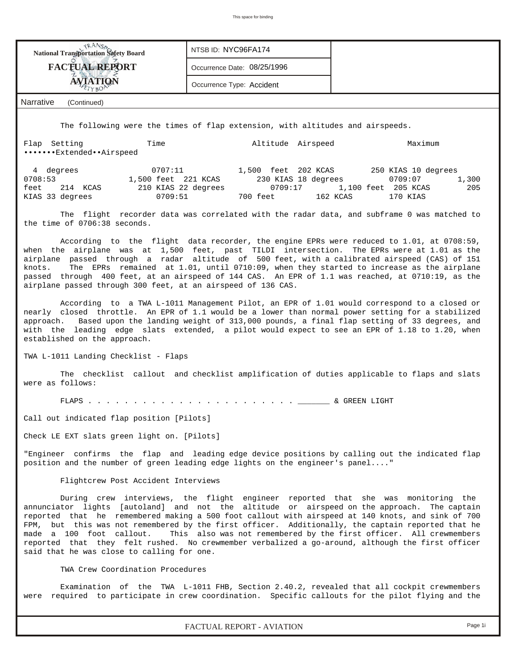| <b>National Transportation Safety Board</b>                                                                                                                                                                                                                                                                                                                                | NTSB ID: NYC96FA174                                                                           |                                                                                                                                                                                     |
|----------------------------------------------------------------------------------------------------------------------------------------------------------------------------------------------------------------------------------------------------------------------------------------------------------------------------------------------------------------------------|-----------------------------------------------------------------------------------------------|-------------------------------------------------------------------------------------------------------------------------------------------------------------------------------------|
| <b>FACTUAL REPORT</b>                                                                                                                                                                                                                                                                                                                                                      | Occurrence Date: 08/25/1996                                                                   |                                                                                                                                                                                     |
| <b>AVIATION</b>                                                                                                                                                                                                                                                                                                                                                            | Occurrence Type: Accident                                                                     |                                                                                                                                                                                     |
| Narrative<br>(Continued)                                                                                                                                                                                                                                                                                                                                                   |                                                                                               |                                                                                                                                                                                     |
|                                                                                                                                                                                                                                                                                                                                                                            | The following were the times of flap extension, with altitudes and airspeeds.                 |                                                                                                                                                                                     |
| Time<br>Flap Setting<br>ExtendedAirspeed                                                                                                                                                                                                                                                                                                                                   | Altitude Airspeed                                                                             | Maximum                                                                                                                                                                             |
| 4 degrees<br>1,500 feet 221 KCAS<br>0708:53<br>feet<br>214 KCAS<br>210 KIAS 22 degrees<br>KIAS 33 degrees<br>0709:51                                                                                                                                                                                                                                                       | 0707:11 1,500 feet 202 KCAS 250 KIAS 10 degrees<br>230 KIAS 18 degrees<br>0709:17<br>700 feet | 0709:07<br>1,300<br>1,100 feet 205 KCAS<br>205<br>162 KCAS<br>170 KIAS                                                                                                              |
| the time of 0706:38 seconds.                                                                                                                                                                                                                                                                                                                                               |                                                                                               | The flight recorder data was correlated with the radar data, and subframe 0 was matched to                                                                                          |
| when the airplane was at 1,500 feet, past TILDI intersection. The EPRs were at 1.01 as the<br>airplane passed through a radar altitude of 500 feet, with a calibrated airspeed (CAS) of 151<br>knots.<br>passed through 400 feet, at an airspeed of 144 CAS. An EPR of 1.1 was reached, at 0710:19, as the<br>airplane passed through 300 feet, at an airspeed of 136 CAS. |                                                                                               | According to the flight data recorder, the engine EPRs were reduced to 1.01, at 0708:59,<br>The EPRs remained at 1.01, until 0710:09, when they started to increase as the airplane |
| nearly closed throttle. An EPR of 1.1 would be a lower than normal power setting for a stabilized<br>approach. Based upon the landing weight of 313,000 pounds, a final flap setting of 33 degrees, and<br>with the leading edge slats extended, a pilot would expect to see an EPR of 1.18 to 1.20, when<br>established on the approach.                                  |                                                                                               | According to a TWA L-1011 Management Pilot, an EPR of 1.01 would correspond to a closed or                                                                                          |
| TWA L-1011 Landing Checklist - Flaps                                                                                                                                                                                                                                                                                                                                       |                                                                                               |                                                                                                                                                                                     |
| were as follows:                                                                                                                                                                                                                                                                                                                                                           |                                                                                               | The checklist callout and checklist amplification of duties applicable to flaps and slats                                                                                           |

FLAPS . . . . . . . . . . . . . . . . . . . . . . . \_\_\_\_\_\_\_ & GREEN LIGHT

Call out indicated flap position [Pilots]

Check LE EXT slats green light on. [Pilots]

"Engineer confirms the flap and leading edge device positions by calling out the indicated flap position and the number of green leading edge lights on the engineer's panel...."

#### Flightcrew Post Accident Interviews

 During crew interviews, the flight engineer reported that she was monitoring the annunciator lights [autoland] and not the altitude or airspeed on the approach. The captain reported that he remembered making a 500 foot callout with airspeed at 140 knots, and sink of 700 FPM, but this was not remembered by the first officer. Additionally, the captain reported that he made a 100 foot callout. This also was not remembered by the first officer. All crewmembers reported that they felt rushed. No crewmember verbalized a go-around, although the first officer said that he was close to calling for one.

# TWA Crew Coordination Procedures

 Examination of the TWA L-1011 FHB, Section 2.40.2, revealed that all cockpit crewmembers were required to participate in crew coordination. Specific callouts for the pilot flying and the

*FACTUAL REPORT - AVIATION Page 1i*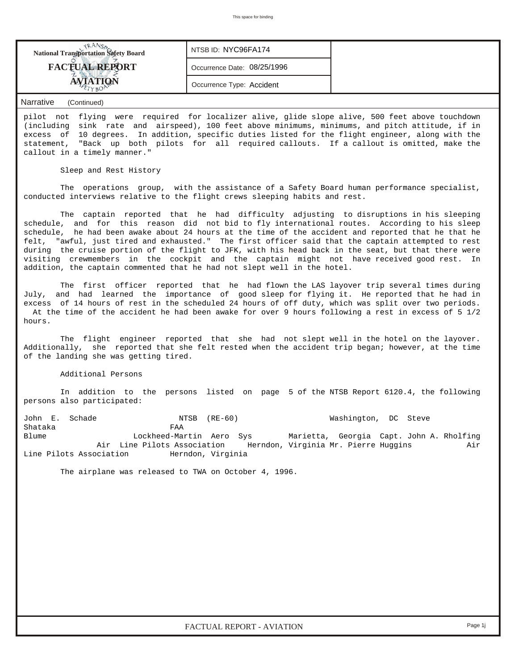| <b>National Transportation Safety Board</b> | NTSB ID: NYC96FA174         |  |
|---------------------------------------------|-----------------------------|--|
| <b>FACTUAL REPORT</b>                       | Occurrence Date: 08/25/1996 |  |
|                                             | Occurrence Type: Accident   |  |

pilot not flying were required for localizer alive, glide slope alive, 500 feet above touchdown (including sink rate and airspeed), 100 feet above minimums, minimums, and pitch attitude, if in excess of 10 degrees. In addition, specific duties listed for the flight engineer, along with the statement, "Back up both pilots for all required callouts. If a callout is omitted, make the callout in a timely manner."

Sleep and Rest History

 The operations group, with the assistance of a Safety Board human performance specialist, conducted interviews relative to the flight crews sleeping habits and rest.

 The captain reported that he had difficulty adjusting to disruptions in his sleeping schedule, and for this reason did not bid to fly international routes. According to his sleep schedule, he had been awake about 24 hours at the time of the accident and reported that he that he felt, "awful, just tired and exhausted." The first officer said that the captain attempted to rest during the cruise portion of the flight to JFK, with his head back in the seat, but that there were visiting crewmembers in the cockpit and the captain might not have received good rest. In addition, the captain commented that he had not slept well in the hotel.

 The first officer reported that he had flown the LAS layover trip several times during July, and had learned the importance of good sleep for flying it. He reported that he had in excess of 14 hours of rest in the scheduled 24 hours of off duty, which was split over two periods. At the time of the accident he had been awake for over 9 hours following a rest in excess of 5 1/2 hours.

 The flight engineer reported that she had not slept well in the hotel on the layover. Additionally, she reported that she felt rested when the accident trip began; however, at the time of the landing she was getting tired.

## Additional Persons

 In addition to the persons listed on page 5 of the NTSB Report 6120.4, the following persons also participated:

John E. Schade NTSB (RE-60) Washington, DC Steve Shataka FAA Blume Lockheed-Martin Aero Sys Marietta, Georgia Capt. John A. Rholfing Air Line Pilots Association Herndon, Virginia Mr. Pierre Huggins Air Line Pilots Association Herndon, Virginia

The airplane was released to TWA on October 4, 1996.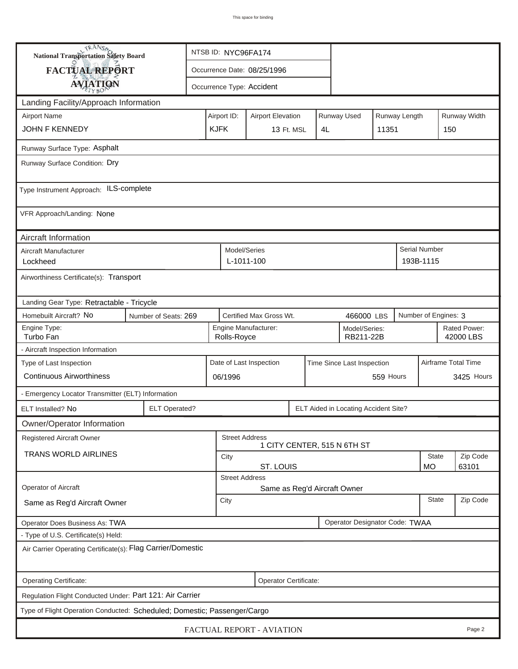| <b>NANSA</b><br>National Transportation Safety Board                                                                        | NTSB ID: NYC96FA174                                                                   |                             |                                                          |                           |  |    |                             |              |            |                                   |              |
|-----------------------------------------------------------------------------------------------------------------------------|---------------------------------------------------------------------------------------|-----------------------------|----------------------------------------------------------|---------------------------|--|----|-----------------------------|--------------|------------|-----------------------------------|--------------|
| <b>FACTUAL REPORT</b>                                                                                                       |                                                                                       | Occurrence Date: 08/25/1996 |                                                          |                           |  |    |                             |              |            |                                   |              |
| <b>AVIATION</b>                                                                                                             |                                                                                       | Occurrence Type: Accident   |                                                          |                           |  |    |                             |              |            |                                   |              |
| Landing Facility/Approach Information                                                                                       |                                                                                       |                             |                                                          |                           |  |    |                             |              |            |                                   |              |
| <b>Airport Name</b>                                                                                                         |                                                                                       | Airport ID:                 | Runway Used<br>Runway Length<br><b>Airport Elevation</b> |                           |  |    |                             |              |            |                                   | Runway Width |
| JOHN F KENNEDY                                                                                                              |                                                                                       | <b>KJFK</b>                 |                                                          | 13 Ft. MSL                |  | 4L |                             | 11351        |            | 150                               |              |
| Runway Surface Type: Asphalt                                                                                                |                                                                                       |                             |                                                          |                           |  |    |                             |              |            |                                   |              |
| Runway Surface Condition: Dry                                                                                               |                                                                                       |                             |                                                          |                           |  |    |                             |              |            |                                   |              |
| Type Instrument Approach: ILS-complete                                                                                      |                                                                                       |                             |                                                          |                           |  |    |                             |              |            |                                   |              |
| VFR Approach/Landing: None                                                                                                  |                                                                                       |                             |                                                          |                           |  |    |                             |              |            |                                   |              |
| Aircraft Information                                                                                                        |                                                                                       |                             |                                                          |                           |  |    |                             |              |            |                                   |              |
| Aircraft Manufacturer<br>Lockheed                                                                                           |                                                                                       |                             | Model/Series<br>L-1011-100                               |                           |  |    |                             |              |            | <b>Serial Number</b><br>193B-1115 |              |
| Airworthiness Certificate(s): Transport                                                                                     |                                                                                       |                             |                                                          |                           |  |    |                             |              |            |                                   |              |
| Landing Gear Type: Retractable - Tricycle                                                                                   |                                                                                       |                             |                                                          |                           |  |    |                             |              |            |                                   |              |
| Homebuilt Aircraft? No                                                                                                      | Certified Max Gross Wt.<br>Number of Engines: 3<br>Number of Seats: 269<br>466000 LBS |                             |                                                          |                           |  |    |                             |              |            |                                   |              |
| Engine Type:<br>Engine Manufacturer:<br>Rated Power:<br>Model/Series:<br>Turbo Fan<br>RB211-22B<br>42000 LBS<br>Rolls-Royce |                                                                                       |                             |                                                          |                           |  |    |                             |              |            |                                   |              |
| - Aircraft Inspection Information                                                                                           |                                                                                       |                             |                                                          |                           |  |    |                             |              |            |                                   |              |
| Airframe Total Time<br>Type of Last Inspection<br>Date of Last Inspection<br>Time Since Last Inspection                     |                                                                                       |                             |                                                          |                           |  |    |                             |              |            |                                   |              |
| <b>Continuous Airworthiness</b><br>559 Hours<br>06/1996                                                                     |                                                                                       |                             |                                                          |                           |  |    |                             |              | 3425 Hours |                                   |              |
| - Emergency Locator Transmitter (ELT) Information                                                                           |                                                                                       |                             |                                                          |                           |  |    |                             |              |            |                                   |              |
| ELT Installed? No                                                                                                           | <b>ELT Operated?</b><br>ELT Aided in Locating Accident Site?                          |                             |                                                          |                           |  |    |                             |              |            |                                   |              |
| Owner/Operator Information                                                                                                  |                                                                                       |                             |                                                          |                           |  |    |                             |              |            |                                   |              |
| Registered Aircraft Owner                                                                                                   |                                                                                       |                             |                                                          | <b>Street Address</b>     |  |    | 1 CITY CENTER, 515 N 6TH ST |              |            |                                   |              |
| <b>TRANS WORLD AIRLINES</b>                                                                                                 | City                                                                                  |                             |                                                          |                           |  |    |                             |              | State      | Zip Code                          |              |
| ST. LOUIS<br><b>MO</b><br><b>Street Address</b>                                                                             |                                                                                       |                             |                                                          |                           |  |    |                             | 63101        |            |                                   |              |
| Operator of Aircraft                                                                                                        | Same as Reg'd Aircraft Owner                                                          |                             |                                                          |                           |  |    |                             |              |            |                                   |              |
| Same as Reg'd Aircraft Owner                                                                                                | City                                                                                  |                             |                                                          |                           |  |    |                             | <b>State</b> | Zip Code   |                                   |              |
| Operator Designator Code: TWAA<br>Operator Does Business As: TWA                                                            |                                                                                       |                             |                                                          |                           |  |    |                             |              |            |                                   |              |
| - Type of U.S. Certificate(s) Held:                                                                                         |                                                                                       |                             |                                                          |                           |  |    |                             |              |            |                                   |              |
| Air Carrier Operating Certificate(s): Flag Carrier/Domestic                                                                 |                                                                                       |                             |                                                          |                           |  |    |                             |              |            |                                   |              |
| Operating Certificate:<br>Operator Certificate:                                                                             |                                                                                       |                             |                                                          |                           |  |    |                             |              |            |                                   |              |
| Regulation Flight Conducted Under: Part 121: Air Carrier                                                                    |                                                                                       |                             |                                                          |                           |  |    |                             |              |            |                                   |              |
| Type of Flight Operation Conducted: Scheduled; Domestic; Passenger/Cargo                                                    |                                                                                       |                             |                                                          |                           |  |    |                             |              |            |                                   |              |
|                                                                                                                             |                                                                                       |                             |                                                          | FACTUAL REPORT - AVIATION |  |    |                             |              |            |                                   | Page 2       |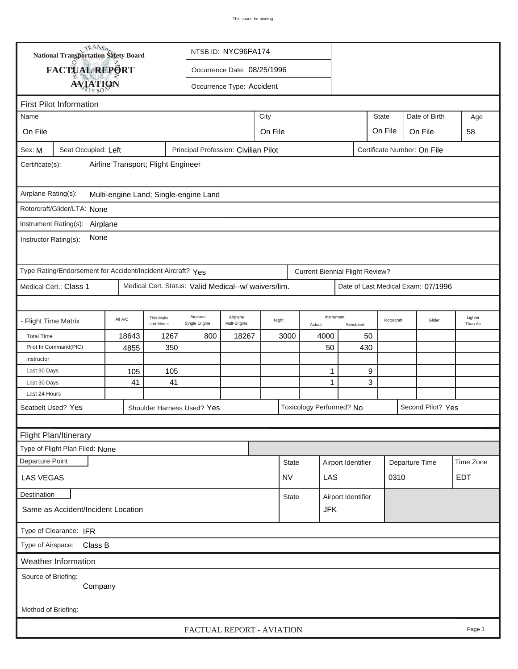| <b>National Transportation Safety Board</b><br>NTSB ID: NYC96FA174                                                |                                                             |  |  |                                                      |  |              |              |                                        |            |           |                                    |            |        |                     |
|-------------------------------------------------------------------------------------------------------------------|-------------------------------------------------------------|--|--|------------------------------------------------------|--|--------------|--------------|----------------------------------------|------------|-----------|------------------------------------|------------|--------|---------------------|
| FACTUAL REPORT<br>Occurrence Date: 08/25/1996                                                                     |                                                             |  |  |                                                      |  |              |              |                                        |            |           |                                    |            |        |                     |
| Occurrence Type: Accident                                                                                         |                                                             |  |  |                                                      |  |              |              |                                        |            |           |                                    |            |        |                     |
| <b>AVIATION</b>                                                                                                   |                                                             |  |  |                                                      |  |              |              |                                        |            |           |                                    |            |        |                     |
| <b>First Pilot Information</b><br>Date of Birth                                                                   |                                                             |  |  |                                                      |  |              |              |                                        |            |           |                                    |            |        |                     |
| Name                                                                                                              | City                                                        |  |  |                                                      |  | <b>State</b> |              |                                        | Age        |           |                                    |            |        |                     |
| On File                                                                                                           | On File<br>On File<br>On File                               |  |  |                                                      |  |              |              |                                        |            |           |                                    |            | 58     |                     |
| Principal Profession: Civilian Pilot<br>Sex: M<br>Seat Occupied: Left<br>Certificate Number: On File              |                                                             |  |  |                                                      |  |              |              |                                        |            |           |                                    |            |        |                     |
| Airline Transport; Flight Engineer<br>Certificate(s):                                                             |                                                             |  |  |                                                      |  |              |              |                                        |            |           |                                    |            |        |                     |
| Airplane Rating(s):<br>Multi-engine Land; Single-engine Land                                                      |                                                             |  |  |                                                      |  |              |              |                                        |            |           |                                    |            |        |                     |
|                                                                                                                   | Rotorcraft/Glider/LTA: None                                 |  |  |                                                      |  |              |              |                                        |            |           |                                    |            |        |                     |
|                                                                                                                   |                                                             |  |  |                                                      |  |              |              |                                        |            |           |                                    |            |        |                     |
| Instrument Rating(s):<br>Airplane<br>None<br>Instructor Rating(s):                                                |                                                             |  |  |                                                      |  |              |              |                                        |            |           |                                    |            |        |                     |
|                                                                                                                   | Type Rating/Endorsement for Accident/Incident Aircraft? Yes |  |  |                                                      |  |              |              | <b>Current Biennial Flight Review?</b> |            |           |                                    |            |        |                     |
|                                                                                                                   | Medical Cert.: Class 1                                      |  |  | Medical Cert. Status: Valid Medical--w/ waivers/lim. |  |              |              |                                        |            |           | Date of Last Medical Exam: 07/1996 |            |        |                     |
|                                                                                                                   |                                                             |  |  |                                                      |  |              |              |                                        |            |           |                                    |            |        |                     |
| Airplane<br>Airplane<br>This Make<br>All A/C<br>- Flight Time Matrix<br>Mult-Engine<br>and Model<br>Single Engine |                                                             |  |  |                                                      |  |              | Night        | Actual                                 | Instrument | Simulated |                                    | Rotorcraft | Glider | Lighter<br>Than Air |
| <b>Total Time</b>                                                                                                 | 18643<br>1267<br>800<br>18267                               |  |  |                                                      |  |              | 3000<br>4000 |                                        |            | 50        |                                    |            |        |                     |
|                                                                                                                   | Pilot In Command(PIC)<br>4855<br>350                        |  |  |                                                      |  |              |              |                                        | 50         | 430       |                                    |            |        |                     |
|                                                                                                                   | Instructor                                                  |  |  |                                                      |  |              |              |                                        |            |           |                                    |            |        |                     |
| Last 90 Days<br>Last 30 Days                                                                                      | 105<br>105<br>41<br>41                                      |  |  |                                                      |  |              |              |                                        | 1<br>1     | 9<br>3    |                                    |            |        |                     |
| Last 24 Hours                                                                                                     |                                                             |  |  |                                                      |  |              |              |                                        |            |           |                                    |            |        |                     |
| Seatbelt Used? Yes<br>Toxicology Performed? No<br>Second Pilot? Yes<br>Shoulder Harness Used? Yes                 |                                                             |  |  |                                                      |  |              |              |                                        |            |           |                                    |            |        |                     |
|                                                                                                                   |                                                             |  |  |                                                      |  |              |              |                                        |            |           |                                    |            |        |                     |
| <b>Flight Plan/Itinerary</b>                                                                                      |                                                             |  |  |                                                      |  |              |              |                                        |            |           |                                    |            |        |                     |
| Type of Flight Plan Filed: None                                                                                   |                                                             |  |  |                                                      |  |              |              |                                        |            |           |                                    |            |        |                     |
| Departure Point<br>Time Zone<br>Airport Identifier<br>Departure Time<br><b>State</b>                              |                                                             |  |  |                                                      |  |              |              |                                        |            |           |                                    |            |        |                     |
| LAS<br>0310<br><b>EDT</b><br><b>LAS VEGAS</b><br><b>NV</b>                                                        |                                                             |  |  |                                                      |  |              |              |                                        |            |           |                                    |            |        |                     |
| Destination<br>Airport Identifier<br><b>State</b>                                                                 |                                                             |  |  |                                                      |  |              |              |                                        |            |           |                                    |            |        |                     |
| <b>JFK</b><br>Same as Accident/Incident Location                                                                  |                                                             |  |  |                                                      |  |              |              |                                        |            |           |                                    |            |        |                     |
| Type of Clearance: IFR                                                                                            |                                                             |  |  |                                                      |  |              |              |                                        |            |           |                                    |            |        |                     |
| Class B<br>Type of Airspace:                                                                                      |                                                             |  |  |                                                      |  |              |              |                                        |            |           |                                    |            |        |                     |
| Weather Information                                                                                               |                                                             |  |  |                                                      |  |              |              |                                        |            |           |                                    |            |        |                     |
| Source of Briefing:                                                                                               |                                                             |  |  |                                                      |  |              |              |                                        |            |           |                                    |            |        |                     |
| Company                                                                                                           |                                                             |  |  |                                                      |  |              |              |                                        |            |           |                                    |            |        |                     |
| Method of Briefing:                                                                                               |                                                             |  |  |                                                      |  |              |              |                                        |            |           |                                    |            |        |                     |
|                                                                                                                   |                                                             |  |  | FACTUAL REPORT - AVIATION                            |  |              |              |                                        |            |           |                                    |            |        | Page 3              |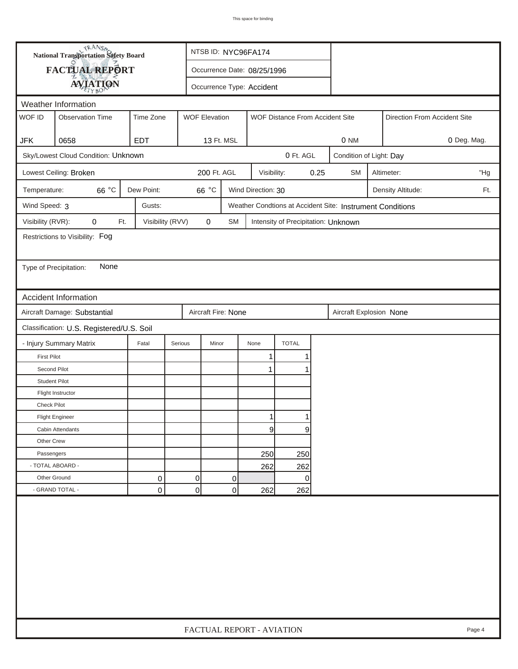| FACTUAL REPORT<br>Occurrence Date: 08/25/1996<br><b>AVIATION</b><br>Occurrence Type: Accident<br>Weather Information<br>WOF ID<br>Time Zone<br><b>Observation Time</b><br><b>WOF Elevation</b><br>WOF Distance From Accident Site<br>Direction From Accident Site<br>0658<br><b>EDT</b><br>0 NM<br>0 Deg. Mag.<br><b>JFK</b><br>13 Ft. MSL<br>Sky/Lowest Cloud Condition: Unknown<br>0 Ft. AGL<br>Condition of Light: Day<br>Lowest Ceiling: Broken<br>200 Ft. AGL<br>0.25<br>Visibility:<br><b>SM</b><br>"Hg<br>Altimeter:<br>66 °C<br>Dew Point:<br>66 °C<br>Wind Direction: 30<br>Density Altitude:<br>Ft.<br>Temperature:<br>Wind Speed: 3<br>Gusts:<br>Weather Condtions at Accident Site: Instrument Conditions<br>Visibility (RVR):<br>0<br>Visibility (RVV)<br>$\pmb{0}$<br>Ft.<br><b>SM</b><br>Intensity of Precipitation: Unknown<br>Restrictions to Visibility: Fog<br>None<br>Type of Precipitation:<br><b>Accident Information</b><br>Aircraft Damage: Substantial<br>Aircraft Fire: None<br>Aircraft Explosion None<br>Classification: U.S. Registered/U.S. Soil<br>- Injury Summary Matrix<br><b>TOTAL</b><br>Fatal<br>Serious<br>Minor<br>None<br><b>First Pilot</b><br>1<br>Second Pilot<br>1<br><b>Student Pilot</b><br>Flight Instructor<br><b>Check Pilot</b><br><b>Flight Engineer</b><br>9<br>9<br>Cabin Attendants<br>Other Crew<br>Passengers<br>250<br>250<br>- TOTAL ABOARD -<br>262<br>262<br>0<br>Other Ground<br>0<br>0<br>0<br>$\overline{0}$<br>- GRAND TOTAL -<br>$\mathbf 0$<br>$\mathbf 0$<br>262<br>262 |  | <b>National Transportation Safety Board</b> |  | NTSB ID: NYC96FA174 |  |  |  |                           |  |  |  |  |        |
|--------------------------------------------------------------------------------------------------------------------------------------------------------------------------------------------------------------------------------------------------------------------------------------------------------------------------------------------------------------------------------------------------------------------------------------------------------------------------------------------------------------------------------------------------------------------------------------------------------------------------------------------------------------------------------------------------------------------------------------------------------------------------------------------------------------------------------------------------------------------------------------------------------------------------------------------------------------------------------------------------------------------------------------------------------------------------------------------------------------------------------------------------------------------------------------------------------------------------------------------------------------------------------------------------------------------------------------------------------------------------------------------------------------------------------------------------------------------------------------------------------------------------------------------|--|---------------------------------------------|--|---------------------|--|--|--|---------------------------|--|--|--|--|--------|
|                                                                                                                                                                                                                                                                                                                                                                                                                                                                                                                                                                                                                                                                                                                                                                                                                                                                                                                                                                                                                                                                                                                                                                                                                                                                                                                                                                                                                                                                                                                                            |  |                                             |  |                     |  |  |  |                           |  |  |  |  |        |
|                                                                                                                                                                                                                                                                                                                                                                                                                                                                                                                                                                                                                                                                                                                                                                                                                                                                                                                                                                                                                                                                                                                                                                                                                                                                                                                                                                                                                                                                                                                                            |  |                                             |  |                     |  |  |  |                           |  |  |  |  |        |
|                                                                                                                                                                                                                                                                                                                                                                                                                                                                                                                                                                                                                                                                                                                                                                                                                                                                                                                                                                                                                                                                                                                                                                                                                                                                                                                                                                                                                                                                                                                                            |  |                                             |  |                     |  |  |  |                           |  |  |  |  |        |
|                                                                                                                                                                                                                                                                                                                                                                                                                                                                                                                                                                                                                                                                                                                                                                                                                                                                                                                                                                                                                                                                                                                                                                                                                                                                                                                                                                                                                                                                                                                                            |  |                                             |  |                     |  |  |  |                           |  |  |  |  |        |
|                                                                                                                                                                                                                                                                                                                                                                                                                                                                                                                                                                                                                                                                                                                                                                                                                                                                                                                                                                                                                                                                                                                                                                                                                                                                                                                                                                                                                                                                                                                                            |  |                                             |  |                     |  |  |  |                           |  |  |  |  |        |
|                                                                                                                                                                                                                                                                                                                                                                                                                                                                                                                                                                                                                                                                                                                                                                                                                                                                                                                                                                                                                                                                                                                                                                                                                                                                                                                                                                                                                                                                                                                                            |  |                                             |  |                     |  |  |  |                           |  |  |  |  |        |
|                                                                                                                                                                                                                                                                                                                                                                                                                                                                                                                                                                                                                                                                                                                                                                                                                                                                                                                                                                                                                                                                                                                                                                                                                                                                                                                                                                                                                                                                                                                                            |  |                                             |  |                     |  |  |  |                           |  |  |  |  |        |
|                                                                                                                                                                                                                                                                                                                                                                                                                                                                                                                                                                                                                                                                                                                                                                                                                                                                                                                                                                                                                                                                                                                                                                                                                                                                                                                                                                                                                                                                                                                                            |  |                                             |  |                     |  |  |  |                           |  |  |  |  |        |
|                                                                                                                                                                                                                                                                                                                                                                                                                                                                                                                                                                                                                                                                                                                                                                                                                                                                                                                                                                                                                                                                                                                                                                                                                                                                                                                                                                                                                                                                                                                                            |  |                                             |  |                     |  |  |  |                           |  |  |  |  |        |
|                                                                                                                                                                                                                                                                                                                                                                                                                                                                                                                                                                                                                                                                                                                                                                                                                                                                                                                                                                                                                                                                                                                                                                                                                                                                                                                                                                                                                                                                                                                                            |  |                                             |  |                     |  |  |  |                           |  |  |  |  |        |
|                                                                                                                                                                                                                                                                                                                                                                                                                                                                                                                                                                                                                                                                                                                                                                                                                                                                                                                                                                                                                                                                                                                                                                                                                                                                                                                                                                                                                                                                                                                                            |  |                                             |  |                     |  |  |  |                           |  |  |  |  |        |
|                                                                                                                                                                                                                                                                                                                                                                                                                                                                                                                                                                                                                                                                                                                                                                                                                                                                                                                                                                                                                                                                                                                                                                                                                                                                                                                                                                                                                                                                                                                                            |  |                                             |  |                     |  |  |  |                           |  |  |  |  |        |
|                                                                                                                                                                                                                                                                                                                                                                                                                                                                                                                                                                                                                                                                                                                                                                                                                                                                                                                                                                                                                                                                                                                                                                                                                                                                                                                                                                                                                                                                                                                                            |  |                                             |  |                     |  |  |  |                           |  |  |  |  |        |
|                                                                                                                                                                                                                                                                                                                                                                                                                                                                                                                                                                                                                                                                                                                                                                                                                                                                                                                                                                                                                                                                                                                                                                                                                                                                                                                                                                                                                                                                                                                                            |  |                                             |  |                     |  |  |  |                           |  |  |  |  |        |
|                                                                                                                                                                                                                                                                                                                                                                                                                                                                                                                                                                                                                                                                                                                                                                                                                                                                                                                                                                                                                                                                                                                                                                                                                                                                                                                                                                                                                                                                                                                                            |  |                                             |  |                     |  |  |  |                           |  |  |  |  |        |
|                                                                                                                                                                                                                                                                                                                                                                                                                                                                                                                                                                                                                                                                                                                                                                                                                                                                                                                                                                                                                                                                                                                                                                                                                                                                                                                                                                                                                                                                                                                                            |  |                                             |  |                     |  |  |  |                           |  |  |  |  |        |
|                                                                                                                                                                                                                                                                                                                                                                                                                                                                                                                                                                                                                                                                                                                                                                                                                                                                                                                                                                                                                                                                                                                                                                                                                                                                                                                                                                                                                                                                                                                                            |  |                                             |  |                     |  |  |  |                           |  |  |  |  |        |
|                                                                                                                                                                                                                                                                                                                                                                                                                                                                                                                                                                                                                                                                                                                                                                                                                                                                                                                                                                                                                                                                                                                                                                                                                                                                                                                                                                                                                                                                                                                                            |  |                                             |  |                     |  |  |  |                           |  |  |  |  |        |
|                                                                                                                                                                                                                                                                                                                                                                                                                                                                                                                                                                                                                                                                                                                                                                                                                                                                                                                                                                                                                                                                                                                                                                                                                                                                                                                                                                                                                                                                                                                                            |  |                                             |  |                     |  |  |  |                           |  |  |  |  |        |
|                                                                                                                                                                                                                                                                                                                                                                                                                                                                                                                                                                                                                                                                                                                                                                                                                                                                                                                                                                                                                                                                                                                                                                                                                                                                                                                                                                                                                                                                                                                                            |  |                                             |  |                     |  |  |  |                           |  |  |  |  |        |
|                                                                                                                                                                                                                                                                                                                                                                                                                                                                                                                                                                                                                                                                                                                                                                                                                                                                                                                                                                                                                                                                                                                                                                                                                                                                                                                                                                                                                                                                                                                                            |  |                                             |  |                     |  |  |  |                           |  |  |  |  |        |
|                                                                                                                                                                                                                                                                                                                                                                                                                                                                                                                                                                                                                                                                                                                                                                                                                                                                                                                                                                                                                                                                                                                                                                                                                                                                                                                                                                                                                                                                                                                                            |  |                                             |  |                     |  |  |  |                           |  |  |  |  |        |
|                                                                                                                                                                                                                                                                                                                                                                                                                                                                                                                                                                                                                                                                                                                                                                                                                                                                                                                                                                                                                                                                                                                                                                                                                                                                                                                                                                                                                                                                                                                                            |  |                                             |  |                     |  |  |  |                           |  |  |  |  |        |
|                                                                                                                                                                                                                                                                                                                                                                                                                                                                                                                                                                                                                                                                                                                                                                                                                                                                                                                                                                                                                                                                                                                                                                                                                                                                                                                                                                                                                                                                                                                                            |  |                                             |  |                     |  |  |  |                           |  |  |  |  |        |
|                                                                                                                                                                                                                                                                                                                                                                                                                                                                                                                                                                                                                                                                                                                                                                                                                                                                                                                                                                                                                                                                                                                                                                                                                                                                                                                                                                                                                                                                                                                                            |  |                                             |  |                     |  |  |  |                           |  |  |  |  |        |
|                                                                                                                                                                                                                                                                                                                                                                                                                                                                                                                                                                                                                                                                                                                                                                                                                                                                                                                                                                                                                                                                                                                                                                                                                                                                                                                                                                                                                                                                                                                                            |  |                                             |  |                     |  |  |  |                           |  |  |  |  |        |
|                                                                                                                                                                                                                                                                                                                                                                                                                                                                                                                                                                                                                                                                                                                                                                                                                                                                                                                                                                                                                                                                                                                                                                                                                                                                                                                                                                                                                                                                                                                                            |  |                                             |  |                     |  |  |  |                           |  |  |  |  |        |
|                                                                                                                                                                                                                                                                                                                                                                                                                                                                                                                                                                                                                                                                                                                                                                                                                                                                                                                                                                                                                                                                                                                                                                                                                                                                                                                                                                                                                                                                                                                                            |  |                                             |  |                     |  |  |  |                           |  |  |  |  |        |
|                                                                                                                                                                                                                                                                                                                                                                                                                                                                                                                                                                                                                                                                                                                                                                                                                                                                                                                                                                                                                                                                                                                                                                                                                                                                                                                                                                                                                                                                                                                                            |  |                                             |  |                     |  |  |  |                           |  |  |  |  |        |
|                                                                                                                                                                                                                                                                                                                                                                                                                                                                                                                                                                                                                                                                                                                                                                                                                                                                                                                                                                                                                                                                                                                                                                                                                                                                                                                                                                                                                                                                                                                                            |  |                                             |  |                     |  |  |  |                           |  |  |  |  |        |
|                                                                                                                                                                                                                                                                                                                                                                                                                                                                                                                                                                                                                                                                                                                                                                                                                                                                                                                                                                                                                                                                                                                                                                                                                                                                                                                                                                                                                                                                                                                                            |  |                                             |  |                     |  |  |  |                           |  |  |  |  |        |
|                                                                                                                                                                                                                                                                                                                                                                                                                                                                                                                                                                                                                                                                                                                                                                                                                                                                                                                                                                                                                                                                                                                                                                                                                                                                                                                                                                                                                                                                                                                                            |  |                                             |  |                     |  |  |  |                           |  |  |  |  |        |
|                                                                                                                                                                                                                                                                                                                                                                                                                                                                                                                                                                                                                                                                                                                                                                                                                                                                                                                                                                                                                                                                                                                                                                                                                                                                                                                                                                                                                                                                                                                                            |  |                                             |  |                     |  |  |  | FACTUAL REPORT - AVIATION |  |  |  |  | Page 4 |